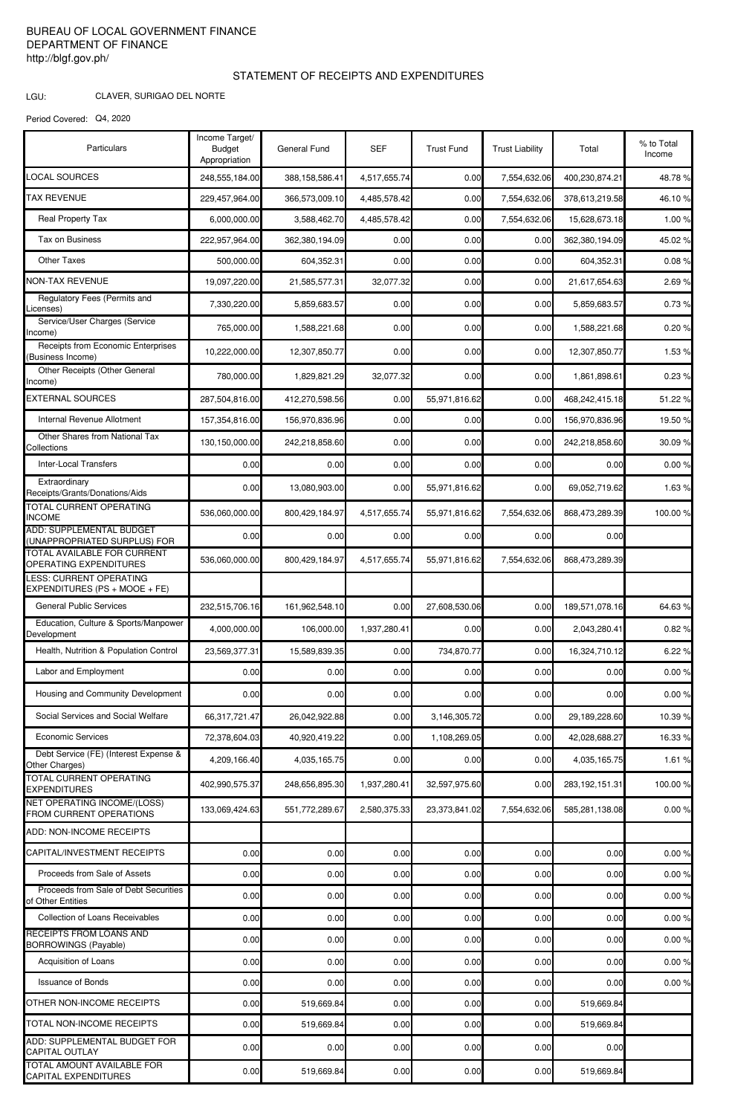## BUREAU OF LOCAL GOVERNMENT FINANCE DEPARTMENT OF FINANCE http://blgf.gov.ph/

CLAVER, SURIGAO DEL NORTE

## STATEMENT OF RECEIPTS AND EXPENDITURES

LGU:

Period Covered: Q4, 2020

| Particulars                                                     | Income Target/<br><b>Budget</b><br>Appropriation | <b>General Fund</b> | <b>SEF</b>   | <b>Trust Fund</b> | <b>Trust Liability</b> | Total             | % to Total<br>Income |
|-----------------------------------------------------------------|--------------------------------------------------|---------------------|--------------|-------------------|------------------------|-------------------|----------------------|
| <b>LOCAL SOURCES</b>                                            | 248,555,184.00                                   | 388,158,586.41      | 4,517,655.74 | 0.00              | 7,554,632.06           | 400,230,874.21    | 48.78%               |
| <b>TAX REVENUE</b>                                              | 229,457,964.00                                   | 366,573,009.10      | 4,485,578.42 | 0.00              | 7,554,632.06           | 378,613,219.58    | 46.10%               |
| <b>Real Property Tax</b>                                        | 6,000,000.00                                     | 3,588,462.70        | 4,485,578.42 | 0.00              | 7,554,632.06           | 15,628,673.18     | 1.00 %               |
| Tax on Business                                                 | 222,957,964.00                                   | 362,380,194.09      | 0.00         | 0.00              | 0.00                   | 362,380,194.09    | 45.02 %              |
| <b>Other Taxes</b>                                              | 500,000.00                                       | 604,352.31          | 0.00         | 0.00              | 0.00                   | 604,352.31        | 0.08%                |
| <b>NON-TAX REVENUE</b>                                          | 19,097,220.00                                    | 21,585,577.31       | 32,077.32    | 0.00              | 0.00                   | 21,617,654.63     | 2.69%                |
| Regulatory Fees (Permits and<br>Licenses)                       | 7,330,220.00                                     | 5,859,683.57        | 0.00         | 0.00              | 0.00                   | 5,859,683.57      | 0.73%                |
| Service/User Charges (Service<br>Income)                        | 765,000.00                                       | 1,588,221.68        | 0.00         | 0.00              | 0.00                   | 1,588,221.68      | 0.20%                |
| Receipts from Economic Enterprises<br>(Business Income)         | 10,222,000.00                                    | 12,307,850.77       | 0.00         | 0.00              | 0.00                   | 12,307,850.77     | 1.53%                |
| Other Receipts (Other General<br>Income)                        | 780,000.00                                       | 1,829,821.29        | 32,077.32    | 0.00              | 0.00                   | 1,861,898.61      | 0.23%                |
| <b>EXTERNAL SOURCES</b>                                         | 287,504,816.00                                   | 412,270,598.56      | 0.00         | 55,971,816.62     | 0.00                   | 468,242,415.18    | 51.22 %              |
| Internal Revenue Allotment                                      | 157,354,816.00                                   | 156,970,836.96      | 0.00         | 0.00              | 0.00                   | 156,970,836.96    | 19.50 %              |
| Other Shares from National Tax<br>Collections                   | 130,150,000.00                                   | 242,218,858.60      | 0.00         | 0.00              | 0.00                   | 242,218,858.60    | 30.09%               |
| <b>Inter-Local Transfers</b>                                    | 0.00                                             | 0.00                | 0.00         | 0.00              | 0.00                   | 0.00              | 0.00%                |
| Extraordinary<br>Receipts/Grants/Donations/Aids                 | 0.00                                             | 13,080,903.00       | 0.00         | 55,971,816.62     | 0.00                   | 69,052,719.62     | 1.63%                |
| TOTAL CURRENT OPERATING<br><b>INCOME</b>                        | 536,060,000.00                                   | 800,429,184.97      | 4,517,655.74 | 55,971,816.62     | 7,554,632.06           | 868,473,289.39    | 100.00%              |
| ADD: SUPPLEMENTAL BUDGET<br>(UNAPPROPRIATED SURPLUS) FOR        | 0.00                                             | 0.00                | 0.00         | 0.00              | 0.00                   | 0.00              |                      |
| TOTAL AVAILABLE FOR CURRENT<br>OPERATING EXPENDITURES           | 536,060,000.00                                   | 800,429,184.97      | 4,517,655.74 | 55,971,816.62     | 7,554,632.06           | 868,473,289.39    |                      |
| <b>LESS: CURRENT OPERATING</b><br>EXPENDITURES (PS + MOOE + FE) |                                                  |                     |              |                   |                        |                   |                      |
| <b>General Public Services</b>                                  | 232,515,706.16                                   | 161,962,548.10      | 0.00         | 27,608,530.06     | 0.00                   | 189,571,078.16    | 64.63%               |
| Education, Culture & Sports/Manpower<br>Development             | 4,000,000.00                                     | 106,000.00          | 1,937,280.41 | 0.00              | 0.00                   | 2,043,280.41      | 0.82%                |
| Health, Nutrition & Population Control                          | 23,569,377.31                                    | 15,589,839.35       | 0.00         | 734,870.77        | 0.00                   | 16,324,710.12     | 6.22 %               |
| Labor and Employment                                            | 0.00                                             | 0.00                | 0.00         | 0.00              | 0.00                   | 0.00              | 0.00%                |
| Housing and Community Development                               | 0.00                                             | 0.00                | 0.00         | 0.00              | 0.00                   | 0.00              | 0.00%                |
| Social Services and Social Welfare                              | 66,317,721.47                                    | 26.042.922.88       | 0.00         | 3,146,305.72      | 0.00                   | 29,189,228.60     | 10.39 %              |
| <b>Economic Services</b>                                        | 72,378,604.03                                    | 40,920,419.22       | 0.00         | 1,108,269.05      | 0.00                   | 42,028,688.27     | 16.33 %              |
| Debt Service (FE) (Interest Expense &<br>Other Charges)         | 4,209,166.40                                     | 4,035,165.75        | 0.00         | 0.00              | 0.00                   | 4,035,165.75      | 1.61 %               |
| <b>TOTAL CURRENT OPERATING</b><br><b>EXPENDITURES</b>           | 402,990,575.37                                   | 248,656,895.30      | 1,937,280.41 | 32,597,975.60     | 0.00                   | 283, 192, 151. 31 | 100.00%              |
| <b>NET OPERATING INCOME/(LOSS)</b><br>FROM CURRENT OPERATIONS   | 133,069,424.63                                   | 551,772,289.67      | 2,580,375.33 | 23,373,841.02     | 7,554,632.06           | 585,281,138.08    | 0.00%                |
| ADD: NON-INCOME RECEIPTS                                        |                                                  |                     |              |                   |                        |                   |                      |
| CAPITAL/INVESTMENT RECEIPTS                                     | 0.00                                             | 0.00                | 0.00         | 0.00              | 0.00                   | 0.00              | 0.00%                |
| Proceeds from Sale of Assets                                    | 0.00                                             | 0.00                | 0.00         | 0.00              | 0.00                   | 0.00              | 0.00%                |
| Proceeds from Sale of Debt Securities<br>of Other Entities      | 0.00                                             | 0.00                | 0.00         | 0.00              | 0.00                   | 0.00              | 0.00%                |
| <b>Collection of Loans Receivables</b>                          | 0.00                                             | 0.00                | 0.00         | 0.00              | 0.00                   | 0.00              | 0.00%                |
| <b>RECEIPTS FROM LOANS AND</b><br><b>BORROWINGS (Payable)</b>   | 0.00                                             | 0.00                | 0.00         | 0.00              | 0.00                   | 0.00              | 0.00%                |
| Acquisition of Loans                                            | 0.00                                             | 0.00                | 0.00         | 0.00              | 0.00                   | 0.00              | 0.00%                |
| <b>Issuance of Bonds</b>                                        | 0.00                                             | 0.00                | 0.00         | 0.00              | 0.00                   | 0.00              | 0.00%                |
| OTHER NON-INCOME RECEIPTS                                       | 0.00                                             | 519,669.84          | 0.00         | 0.00              | 0.00                   | 519,669.84        |                      |
| TOTAL NON-INCOME RECEIPTS                                       | 0.00                                             | 519,669.84          | 0.00         | 0.00              | 0.00                   | 519,669.84        |                      |
| ADD: SUPPLEMENTAL BUDGET FOR<br>CAPITAL OUTLAY                  | 0.00                                             | 0.00                | 0.00         | 0.00              | 0.00                   | 0.00              |                      |
| <b>TOTAL AMOUNT AVAILABLE FOR</b><br>CAPITAL EXPENDITURES       | 0.00                                             | 519,669.84          | 0.00         | 0.00              | 0.00                   | 519,669.84        |                      |